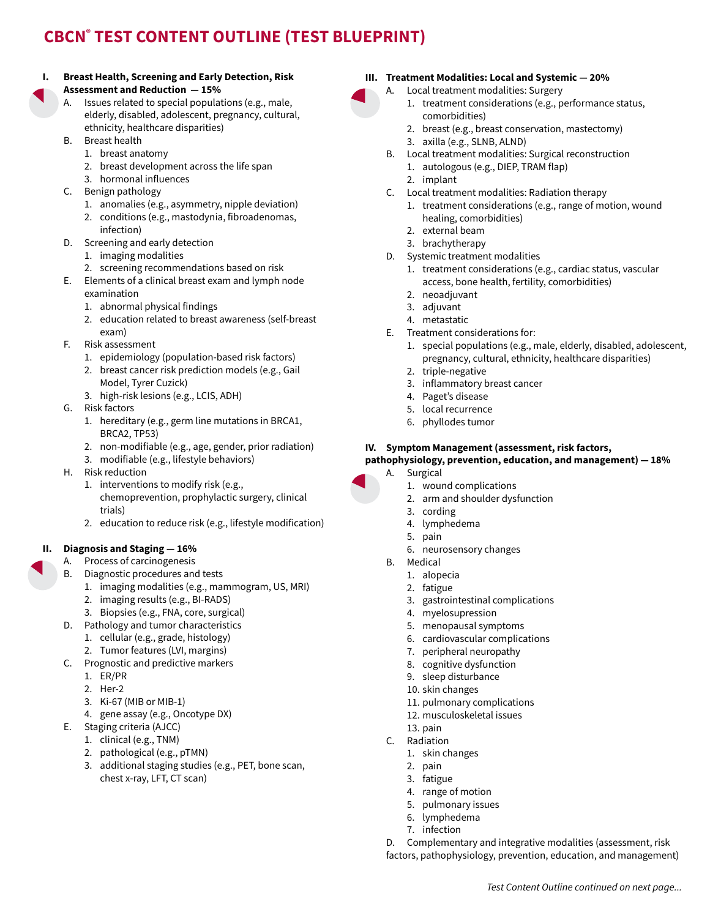# **CBCN® TEST CONTENT OUTLINE (TEST BLUEPRINT)**

#### **I. Breast Health, Screening and Early Detection, Risk Assessment and Reduction — 15%**

- A. Issues related to special populations (e.g., male, elderly, disabled, adolescent, pregnancy, cultural, ethnicity, healthcare disparities)
- B. Breast health
	- 1. breast anatomy
	- 2. breast development across the life span
	- 3. hormonal influences
- C. Benign pathology
	- 1. anomalies (e.g., asymmetry, nipple deviation)
	- 2. conditions (e.g., mastodynia, fibroadenomas, infection)
- D. Screening and early detection
	- 1. imaging modalities
	- 2. screening recommendations based on risk
- E. Elements of a clinical breast exam and lymph node examination
	- 1. abnormal physical findings
	- 2. education related to breast awareness (self-breast exam)
- F. Risk assessment
	- 1. epidemiology (population-based risk factors)
	- 2. breast cancer risk prediction models (e.g., Gail Model, Tyrer Cuzick)
	- 3. high-risk lesions (e.g., LCIS, ADH)
- G. Risk factors
	- 1. hereditary (e.g., germ line mutations in BRCA1, BRCA2, TP53)
	- 2. non-modifiable (e.g., age, gender, prior radiation)
	- 3. modifiable (e.g., lifestyle behaviors)
- H. Risk reduction
	- 1. interventions to modify risk (e.g., chemoprevention, prophylactic surgery, clinical
	- trials)
	- 2. education to reduce risk (e.g., lifestyle modification)

# **II. Diagnosis and Staging — 16%**

- A. Process of carcinogenesis
- B. Diagnostic procedures and tests
	- 1. imaging modalities (e.g., mammogram, US, MRI)
	- 2. imaging results (e.g., BI-RADS)
	- 3. Biopsies (e.g., FNA, core, surgical)
- D. Pathology and tumor characteristics
	- 1. cellular (e.g., grade, histology)
	- 2. Tumor features (LVI, margins)
- C. Prognostic and predictive markers
	- 1. ER/PR
	- 2. Her-2
	- 3. Ki-67 (MIB or MIB-1)
	- 4. gene assay (e.g., Oncotype DX)
- E. Staging criteria (AJCC)
	- 1. clinical (e.g., TNM)
	- 2. pathological (e.g., pTMN)
	- 3. additional staging studies (e.g., PET, bone scan, chest x-ray, LFT, CT scan)

# **III. Treatment Modalities: Local and Systemic — 20%**

- 
- A. Local treatment modalities: Surgery
	- 1. treatment considerations (e.g., performance status, comorbidities)
	- 2. breast (e.g., breast conservation, mastectomy)
	- 3. axilla (e.g., SLNB, ALND)
- B. Local treatment modalities: Surgical reconstruction 1. autologous (e.g., DIEP, TRAM flap)
	- 2. implant
- C. Local treatment modalities: Radiation therapy
	- 1. treatment considerations (e.g., range of motion, wound healing, comorbidities)
	- 2. external beam
	- 3. brachytherapy
- D. Systemic treatment modalities
	- 1. treatment considerations (e.g., cardiac status, vascular access, bone health, fertility, comorbidities)
	- 2. neoadjuvant
	- 3. adjuvant
	- 4. metastatic
- E. Treatment considerations for:
	- 1. special populations (e.g., male, elderly, disabled, adolescent, pregnancy, cultural, ethnicity, healthcare disparities)
	- 2. triple-negative
	- 3. inflammatory breast cancer
	- 4. Paget's disease
	- 5. local recurrence
	- 6. phyllodes tumor

# **IV. Symptom Management (assessment, risk factors,**

#### **pathophysiology, prevention, education, and management) — 18%** A. Surgical

D. Complementary and integrative modalities (assessment, risk factors, pathophysiology, prevention, education, and management)

*Test Content Outline continued on next page...*

- - 1. wound complications
	- 2. arm and shoulder dysfunction
	- 3. cording
	- 4. lymphedema
	- 5. pain
	- 6. neurosensory changes
	- B. Medical
		- 1. alopecia
		- 2. fatigue
		- 3. gastrointestinal complications
		- 4. myelosupression
		- 5. menopausal symptoms
		- 6. cardiovascular complications
		- 7. peripheral neuropathy
		- 8. cognitive dysfunction
		- 9. sleep disturbance 10. skin changes
		- 11. pulmonary complications
		- 12. musculoskeletal issues
		- 13. pain
	- C. Radiation
		- 1. skin changes
		- 2. pain
		- 3. fatigue
		- 4. range of motion
		- 5. pulmonary issues
		- 6. lymphedema 7. infection